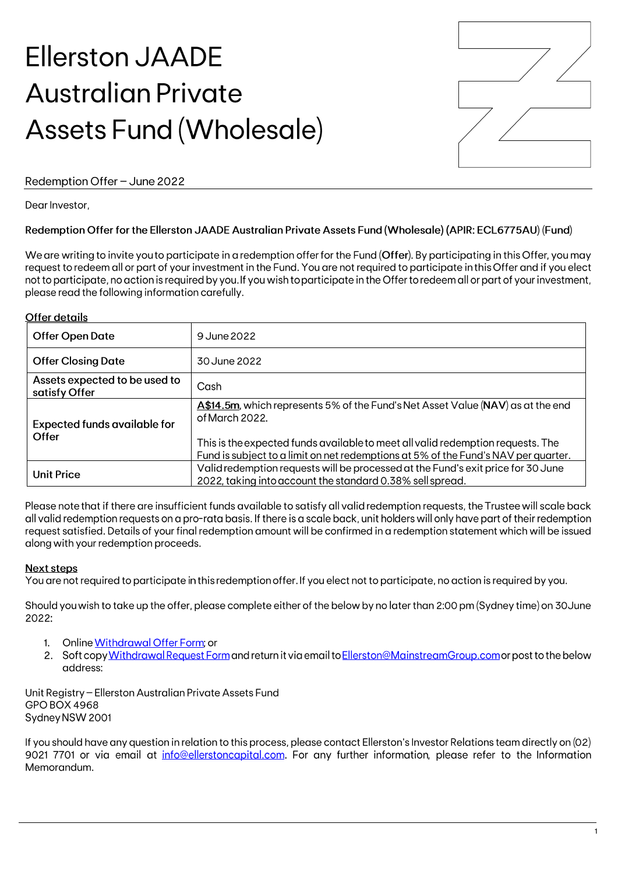# **Ellerston JAADE Australian Private Assets Fund (Wholesale)**



# Redemption Offer - June 2022

Dear Investor.

# Redemption Offer for the Ellerston JAADE Australian Private Assets Fund (Wholesale) (APIR: ECL6775AU) (Fund)

We are writing to invite you to participate in a redemption offer for the Fund (Offer). By participating in this Offer, you may request to redeem all or part of your investment in the Fund. You are not required to participate in this Offer and if you elect not to participate, no action is required by you. If you wish to participate in the Offer to redeem all or part of your investment, please read the following information carefully.

### **Offer details**

| <b>Offer Open Date</b>                         | 9 June 2022                                                                                                                                                           |
|------------------------------------------------|-----------------------------------------------------------------------------------------------------------------------------------------------------------------------|
| <b>Offer Closing Date</b>                      | 30 June 2022                                                                                                                                                          |
| Assets expected to be used to<br>satisfy Offer | Cash                                                                                                                                                                  |
| <b>Expected funds available for</b><br>Offer   | <b>A\$14.5m</b> , which represents 5% of the Fund's Net Asset Value (NAV) as at the end<br>of March 2022.                                                             |
|                                                | This is the expected funds available to meet all valid redemption requests. The<br>Fund is subject to a limit on net redemptions at 5% of the Fund's NAV per quarter. |
| <b>Unit Price</b>                              | Valid redemption requests will be processed at the Fund's exit price for 30 June<br>2022, taking into account the standard 0.38% sell spread.                         |

Please note that if there are insufficient funds available to satisfy all valid redemption requests, the Trustee will scale back all valid redemption requests on a pro-rata basis. If there is a scale back, unit holders will only have part of their redemption request satisfied. Details of your final redemption amount will be confirmed in a redemption statement which will be issued along with your redemption proceeds.

# **Next steps**

You are not required to participate in this redemption offer. If you elect not to participate, no action is required by you.

Should you wish to take up the offer, please complete either of the below by no later than 2:00 pm (Sydney time) on 30 June 2022:

- 1. Online Withdrawal Offer Form: or
- 2. Soft copy Withdrawal Request Form and return it via email to Ellerston@MainstreamGroup.com or post to the below address:

Unit Registry - Ellerston Australian Private Assets Fund GPO BOX 4968 Sydney NSW 2001

If you should have any question in relation to this process, please contact Ellerston's Investor Relations team directly on (02) 9021 7701 or via email at info@ellerstoncapital.com. For any further information, please refer to the Information Memorandum.